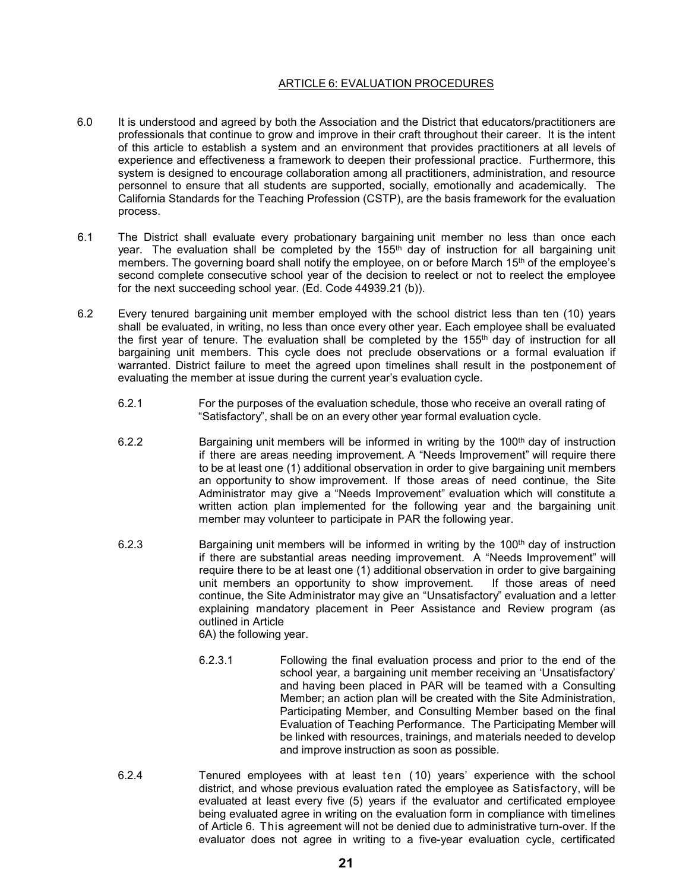# ARTICLE 6: EVALUATION PROCEDURES

- 6.0 It is understood and agreed by both the Association and the District that educators/practitioners are professionals that continue to grow and improve in their craft throughout their career. It is the intent of this article to establish a system and an environment that provides practitioners at all levels of experience and effectiveness a framework to deepen their professional practice. Furthermore, this system is designed to encourage collaboration among all practitioners, administration, and resource personnel to ensure that all students are supported, socially, emotionally and academically. The California Standards for the Teaching Profession (CSTP), are the basis framework for the evaluation process.
- 6.1 The District shall evaluate every probationary bargaining unit member no less than once each year. The evaluation shall be completed by the 155<sup>th</sup> day of instruction for all bargaining unit members. The governing board shall notify the employee, on or before March 15<sup>th</sup> of the employee's second complete consecutive school year of the decision to reelect or not to reelect the employee for the next succeeding school year. (Ed. Code 44939.21 (b)).
- 6.2 Every tenured bargaining unit member employed with the school district less than ten (10) years shall be evaluated, in writing, no less than once every other year. Each employee shall be evaluated the first year of tenure. The evaluation shall be completed by the 155<sup>th</sup> day of instruction for all bargaining unit members. This cycle does not preclude observations or a formal evaluation if warranted. District failure to meet the agreed upon timelines shall result in the postponement of evaluating the member at issue during the current year's evaluation cycle.
	- 6.2.1 For the purposes of the evaluation schedule, those who receive an overall rating of "Satisfactory", shall be on an every other year formal evaluation cycle.
	- 6.2.2 Bargaining unit members will be informed in writing by the 100th day of instruction if there are areas needing improvement. A "Needs Improvement" will require there to be at least one (1) additional observation in order to give bargaining unit members an opportunity to show improvement. If those areas of need continue, the Site Administrator may give a "Needs Improvement" evaluation which will constitute a written action plan implemented for the following year and the bargaining unit member may volunteer to participate in PAR the following year.
	- 6.2.3 Bargaining unit members will be informed in writing by the 100<sup>th</sup> day of instruction if there are substantial areas needing improvement. A "Needs Improvement" will require there to be at least one (1) additional observation in order to give bargaining<br>unit members an opportunity to show improvement. If those areas of need unit members an opportunity to show improvement. continue, the Site Administrator may give an "Unsatisfactory" evaluation and a letter explaining mandatory placement in Peer Assistance and Review program (as outlined in Article 6A) the following year.
		- 6.2.3.1 Following the final evaluation process and prior to the end of the school year, a bargaining unit member receiving an 'Unsatisfactory' and having been placed in PAR will be teamed with a Consulting Member; an action plan will be created with the Site Administration, Participating Member, and Consulting Member based on the final Evaluation of Teaching Performance. The Participating Member will be linked with resources, trainings, and materials needed to develop and improve instruction as soon as possible.
	- 6.2.4 Tenured employees with at least ten (10) years' experience with the school district, and whose previous evaluation rated the employee as Satisfactory, will be evaluated at least every five (5) years if the evaluator and certificated employee being evaluated agree in writing on the evaluation form in compliance with timelines of Article 6. This agreement will not be denied due to administrative turn-over. If the evaluator does not agree in writing to a five-year evaluation cycle, certificated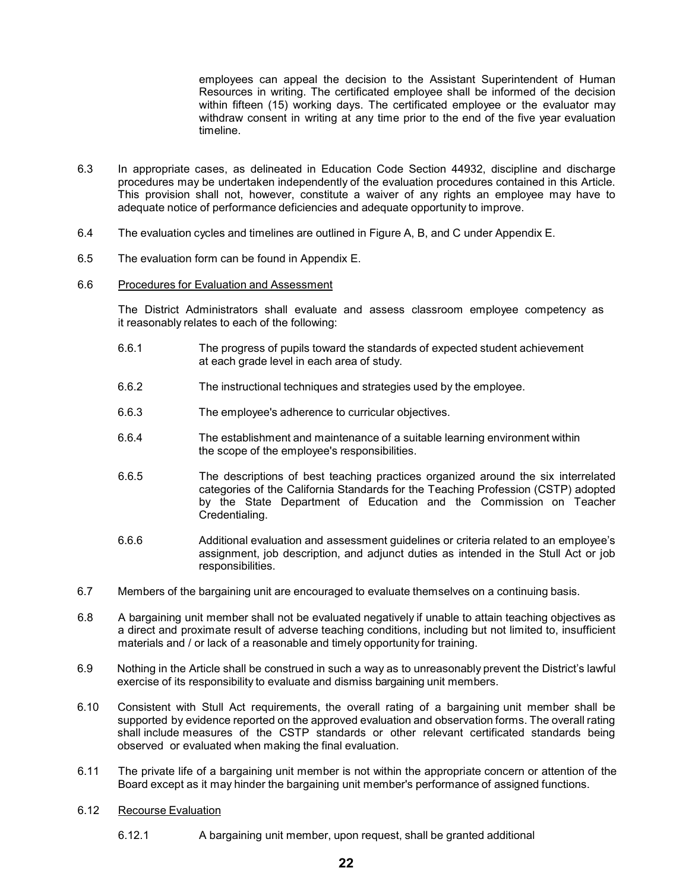employees can appeal the decision to the Assistant Superintendent of Human Resources in writing. The certificated employee shall be informed of the decision within fifteen (15) working days. The certificated employee or the evaluator may withdraw consent in writing at any time prior to the end of the five year evaluation timeline.

- 6.3 In appropriate cases, as delineated in Education Code Section 44932, discipline and discharge procedures may be undertaken independently of the evaluation procedures contained in this Article. This provision shall not, however, constitute a waiver of any rights an employee may have to adequate notice of performance deficiencies and adequate opportunity to improve.
- 6.4 The evaluation cycles and timelines are outlined in Figure A, B, and C under Appendix E.
- 6.5 The evaluation form can be found in Appendix E.

# 6.6 Procedures for Evaluation and Assessment

The District Administrators shall evaluate and assess classroom employee competency as it reasonably relates to each of the following:

- 6.6.1 The progress of pupils toward the standards of expected student achievement at each grade level in each area of study.
- 6.6.2 The instructional techniques and strategies used by the employee.
- 6.6.3 The employee's adherence to curricular objectives.
- 6.6.4 The establishment and maintenance of a suitable learning environment within the scope of the employee's responsibilities.
- 6.6.5 The descriptions of best teaching practices organized around the six interrelated categories of the California Standards for the Teaching Profession (CSTP) adopted by the State Department of Education and the Commission on Teacher Credentialing.
- 6.6.6 Additional evaluation and assessment guidelines or criteria related to an employee's assignment, job description, and adjunct duties as intended in the Stull Act or job responsibilities.
- 6.7 Members of the bargaining unit are encouraged to evaluate themselves on a continuing basis.
- 6.8 A bargaining unit member shall not be evaluated negatively if unable to attain teaching objectives as a direct and proximate result of adverse teaching conditions, including but not limited to, insufficient materials and / or lack of a reasonable and timely opportunity for training.
- 6.9 Nothing in the Article shall be construed in such a way as to unreasonably prevent the District's lawful exercise of its responsibility to evaluate and dismiss bargaining unit members.
- 6.10 Consistent with Stull Act requirements, the overall rating of a bargaining unit member shall be supported by evidence reported on the approved evaluation and observation forms. The overall rating shall include measures of the CSTP standards or other relevant certificated standards being observed or evaluated when making the final evaluation.
- 6.11 The private life of a bargaining unit member is not within the appropriate concern or attention of the Board except as it may hinder the bargaining unit member's performance of assigned functions.
- 6.12 Recourse Evaluation
	- 6.12.1 A bargaining unit member, upon request, shall be granted additional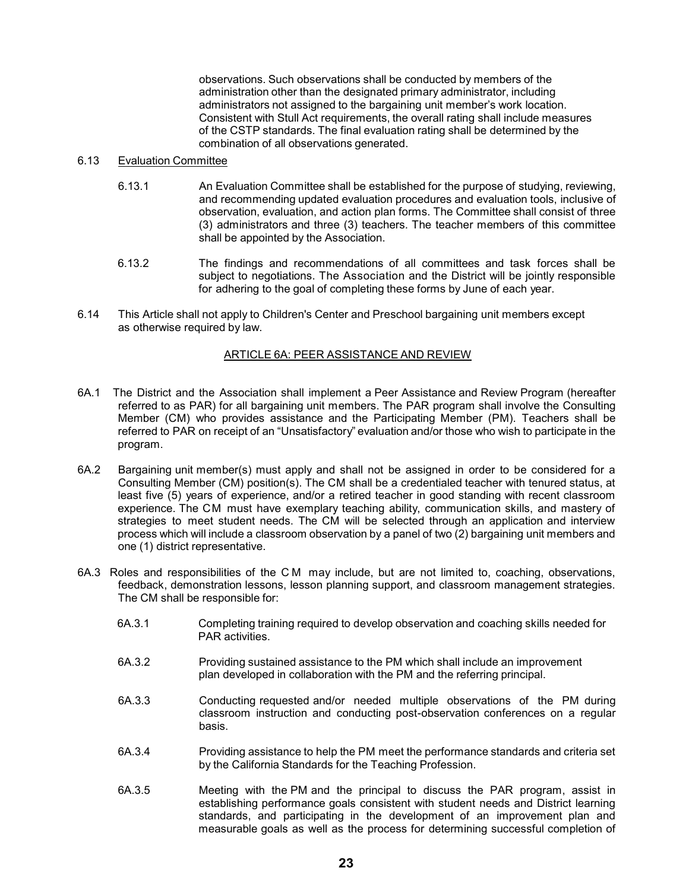observations. Such observations shall be conducted by members of the administration other than the designated primary administrator, including administrators not assigned to the bargaining unit member's work location. Consistent with Stull Act requirements, the overall rating shall include measures of the CSTP standards. The final evaluation rating shall be determined by the combination of all observations generated.

## 6.13 Evaluation Committee

- 6.13.1 An Evaluation Committee shall be established for the purpose of studying, reviewing, and recommending updated evaluation procedures and evaluation tools, inclusive of observation, evaluation, and action plan forms. The Committee shall consist of three (3) administrators and three (3) teachers. The teacher members of this committee shall be appointed by the Association.
- 6.13.2 The findings and recommendations of all committees and task forces shall be subject to negotiations. The Association and the District will be jointly responsible for adhering to the goal of completing these forms by June of each year.
- 6.14 This Article shall not apply to Children's Center and Preschool bargaining unit members except as otherwise required by law.

#### ARTICLE 6A: PEER ASSISTANCE AND REVIEW

- 6A.1 The District and the Association shall implement a Peer Assistance and Review Program (hereafter referred to as PAR) for all bargaining unit members. The PAR program shall involve the Consulting Member (CM) who provides assistance and the Participating Member (PM). Teachers shall be referred to PAR on receipt of an "Unsatisfactory" evaluation and/or those who wish to participate in the program.
- 6A.2 Bargaining unit member(s) must apply and shall not be assigned in order to be considered for a Consulting Member (CM) position(s). The CM shall be a credentialed teacher with tenured status, at least five (5) years of experience, and/or a retired teacher in good standing with recent classroom experience. The CM must have exemplary teaching ability, communication skills, and mastery of strategies to meet student needs. The CM will be selected through an application and interview process which will include a classroom observation by a panel of two (2) bargaining unit members and one (1) district representative.
- 6A.3 Roles and responsibilities of the CM may include, but are not limited to, coaching, observations, feedback, demonstration lessons, lesson planning support, and classroom management strategies. The CM shall be responsible for:
	- 6A.3.1 Completing training required to develop observation and coaching skills needed for PAR activities.
	- 6A.3.2 Providing sustained assistance to the PM which shall include an improvement plan developed in collaboration with the PM and the referring principal.
	- 6A.3.3 Conducting requested and/or needed multiple observations of the PM during classroom instruction and conducting post-observation conferences on a regular basis.
	- 6A.3.4 Providing assistance to help the PM meet the performance standards and criteria set by the California Standards for the Teaching Profession.
	- 6A.3.5 Meeting with the PM and the principal to discuss the PAR program, assist in establishing performance goals consistent with student needs and District learning standards, and participating in the development of an improvement plan and measurable goals as well as the process for determining successful completion of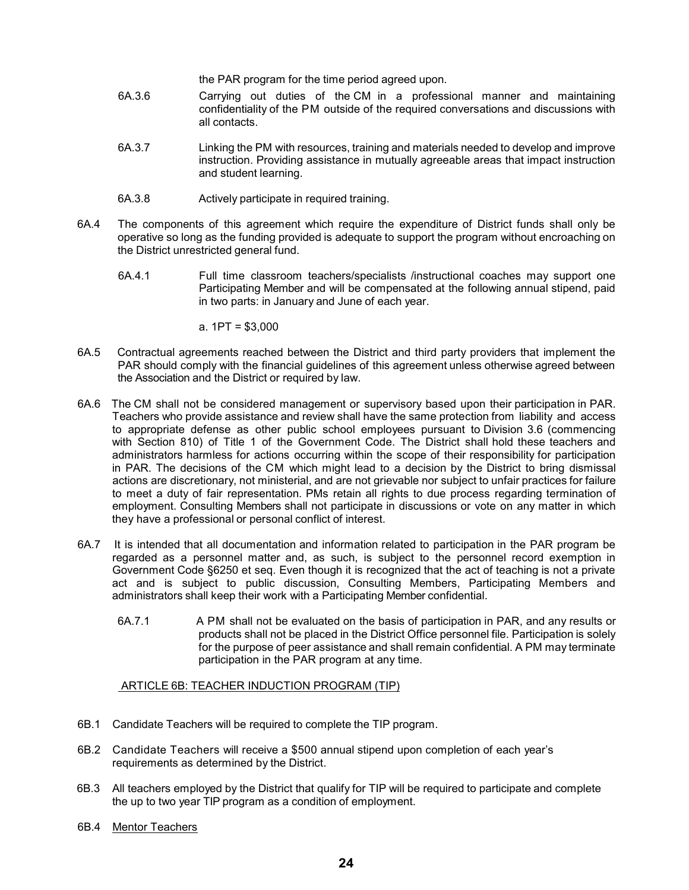the PAR program for the time period agreed upon.

- 6A.3.6 Carrying out duties of the CM in a professional manner and maintaining confidentiality of the PM outside of the required conversations and discussions with all contacts.
- 6A.3.7 Linking the PM with resources, training and materials needed to develop and improve instruction. Providing assistance in mutually agreeable areas that impact instruction and student learning.
- 6A.3.8 Actively participate in required training.
- 6A.4 The components of this agreement which require the expenditure of District funds shall only be operative so long as the funding provided is adequate to support the program without encroaching on the District unrestricted general fund.
	- 6A.4.1 Full time classroom teachers/specialists /instructional coaches may support one Participating Member and will be compensated at the following annual stipend, paid in two parts: in January and June of each year.
		- a. 1PT = \$3,000
- 6A.5 Contractual agreements reached between the District and third party providers that implement the PAR should comply with the financial guidelines of this agreement unless otherwise agreed between the Association and the District or required by law.
- 6A.6 The CM shall not be considered management or supervisory based upon their participation in PAR. Teachers who provide assistance and review shall have the same protection from liability and access to appropriate defense as other public school employees pursuant to Division 3.6 (commencing with Section 810) of Title 1 of the Government Code. The District shall hold these teachers and administrators harmless for actions occurring within the scope of their responsibility for participation in PAR. The decisions of the CM which might lead to a decision by the District to bring dismissal actions are discretionary, not ministerial, and are not grievable nor subject to unfair practices for failure to meet a duty of fair representation. PMs retain all rights to due process regarding termination of employment. Consulting Members shall not participate in discussions or vote on any matter in which they have a professional or personal conflict of interest.
- 6A.7 It is intended that all documentation and information related to participation in the PAR program be regarded as a personnel matter and, as such, is subject to the personnel record exemption in Government Code §6250 et seq. Even though it is recognized that the act of teaching is not a private act and is subject to public discussion, Consulting Members, Participating Members and administrators shall keep their work with a Participating Member confidential.
	- 6A.7.1 A PM shall not be evaluated on the basis of participation in PAR, and any results or products shall not be placed in the District Office personnel file. Participation is solely for the purpose of peer assistance and shall remain confidential. A PM may terminate participation in the PAR program at any time.

### ARTICLE 6B: TEACHER INDUCTION PROGRAM (TIP)

- 6B.1 Candidate Teachers will be required to complete the TIP program.
- 6B.2 Candidate Teachers will receive a \$500 annual stipend upon completion of each year's requirements as determined by the District.
- 6B.3 All teachers employed by the District that qualify for TIP will be required to participate and complete the up to two year TIP program as a condition of employment.
- 6B.4 Mentor Teachers